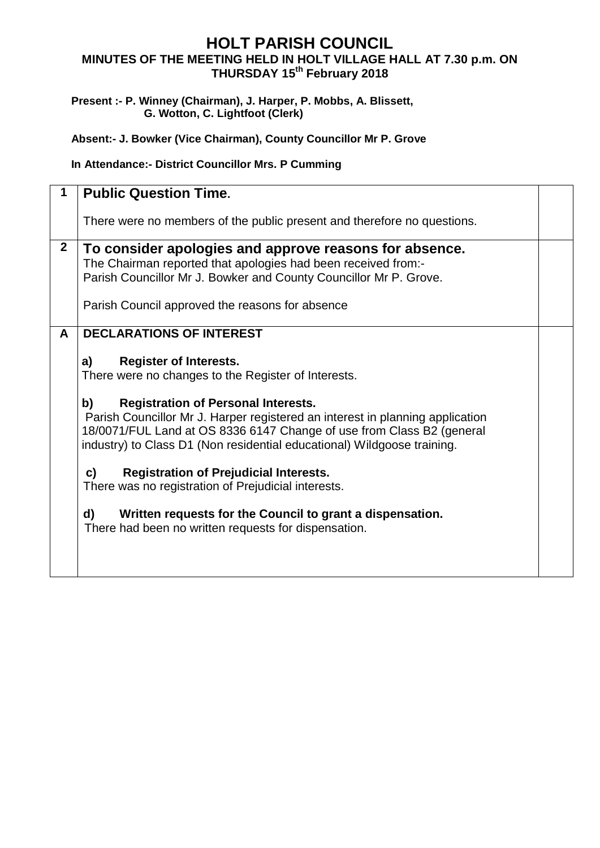## **HOLT PARISH COUNCIL MINUTES OF THE MEETING HELD IN HOLT VILLAGE HALL AT 7.30 p.m. ON THURSDAY 15 th February 2018**

## **Present :- P. Winney (Chairman), J. Harper, P. Mobbs, A. Blissett, G. Wotton, C. Lightfoot (Clerk)**

**Absent:- J. Bowker (Vice Chairman), County Councillor Mr P. Grove**

## **In Attendance:- District Councillor Mrs. P Cumming**

|              | <b>Public Question Time.</b>                                                                                                                                                                                                                                                                                                                                                                                                                                                                                                                                                                                                                                              |  |
|--------------|---------------------------------------------------------------------------------------------------------------------------------------------------------------------------------------------------------------------------------------------------------------------------------------------------------------------------------------------------------------------------------------------------------------------------------------------------------------------------------------------------------------------------------------------------------------------------------------------------------------------------------------------------------------------------|--|
|              | There were no members of the public present and therefore no questions.                                                                                                                                                                                                                                                                                                                                                                                                                                                                                                                                                                                                   |  |
| $\mathbf{2}$ | To consider apologies and approve reasons for absence.<br>The Chairman reported that apologies had been received from:-<br>Parish Councillor Mr J. Bowker and County Councillor Mr P. Grove.<br>Parish Council approved the reasons for absence                                                                                                                                                                                                                                                                                                                                                                                                                           |  |
| A            | <b>DECLARATIONS OF INTEREST</b><br><b>Register of Interests.</b><br>a)<br>There were no changes to the Register of Interests.<br>b)<br><b>Registration of Personal Interests.</b><br>Parish Councillor Mr J. Harper registered an interest in planning application<br>18/0071/FUL Land at OS 8336 6147 Change of use from Class B2 (general<br>industry) to Class D1 (Non residential educational) Wildgoose training.<br>$\mathbf{c}$<br><b>Registration of Prejudicial Interests.</b><br>There was no registration of Prejudicial interests.<br>d)<br>Written requests for the Council to grant a dispensation.<br>There had been no written requests for dispensation. |  |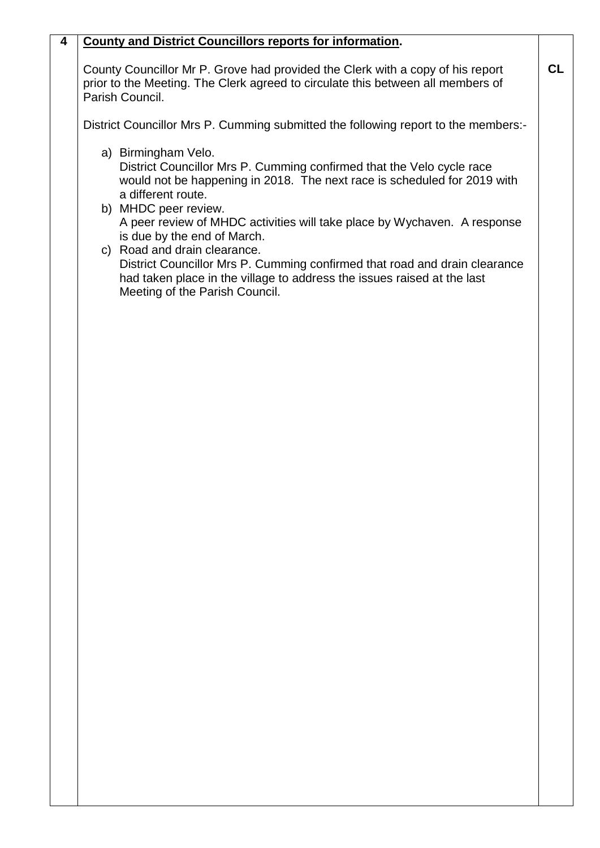## **4 County and District Councillors reports for information.**

County Councillor Mr P. Grove had provided the Clerk with a copy of his report prior to the Meeting. The Clerk agreed to circulate this between all members of Parish Council.

District Councillor Mrs P. Cumming submitted the following report to the members:-

a) Birmingham Velo.

District Councillor Mrs P. Cumming confirmed that the Velo cycle race would not be happening in 2018. The next race is scheduled for 2019 with a different route.

- b) MHDC peer review. A peer review of MHDC activities will take place by Wychaven. A response is due by the end of March.
- c) Road and drain clearance. District Councillor Mrs P. Cumming confirmed that road and drain clearance had taken place in the village to address the issues raised at the last Meeting of the Parish Council.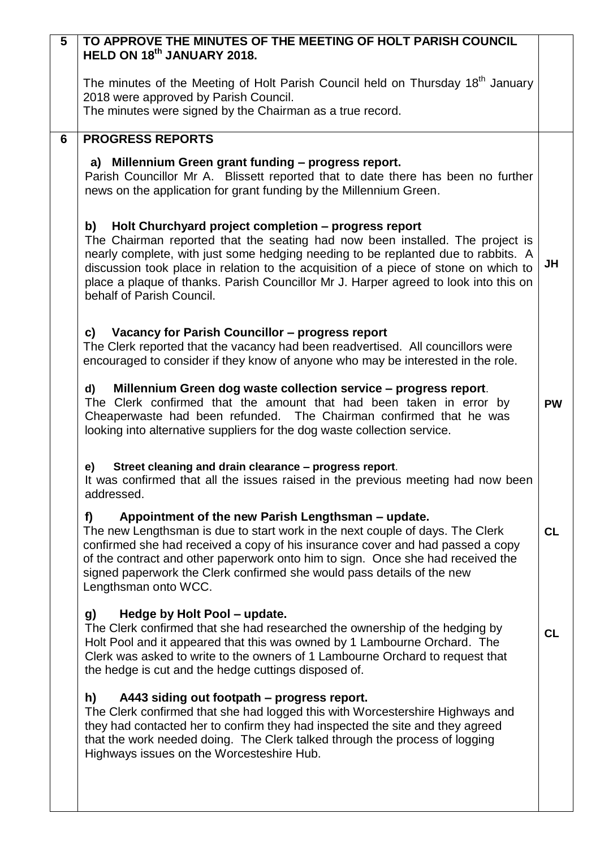| $\overline{5}$ | TO APPROVE THE MINUTES OF THE MEETING OF HOLT PARISH COUNCIL                                                                                                                                                                                                                                                                                                                                                                                  |           |  |
|----------------|-----------------------------------------------------------------------------------------------------------------------------------------------------------------------------------------------------------------------------------------------------------------------------------------------------------------------------------------------------------------------------------------------------------------------------------------------|-----------|--|
|                | HELD ON 18th JANUARY 2018.                                                                                                                                                                                                                                                                                                                                                                                                                    |           |  |
|                | The minutes of the Meeting of Holt Parish Council held on Thursday 18 <sup>th</sup> January<br>2018 were approved by Parish Council.                                                                                                                                                                                                                                                                                                          |           |  |
|                | The minutes were signed by the Chairman as a true record.                                                                                                                                                                                                                                                                                                                                                                                     |           |  |
| 6              | <b>PROGRESS REPORTS</b>                                                                                                                                                                                                                                                                                                                                                                                                                       |           |  |
|                | a) Millennium Green grant funding - progress report.                                                                                                                                                                                                                                                                                                                                                                                          |           |  |
|                | Parish Councillor Mr A. Blissett reported that to date there has been no further<br>news on the application for grant funding by the Millennium Green.                                                                                                                                                                                                                                                                                        |           |  |
|                | Holt Churchyard project completion - progress report<br>b)<br>The Chairman reported that the seating had now been installed. The project is<br>nearly complete, with just some hedging needing to be replanted due to rabbits. A<br>discussion took place in relation to the acquisition of a piece of stone on which to<br>place a plaque of thanks. Parish Councillor Mr J. Harper agreed to look into this on<br>behalf of Parish Council. | JH        |  |
|                | Vacancy for Parish Councillor - progress report<br>C)<br>The Clerk reported that the vacancy had been readvertised. All councillors were<br>encouraged to consider if they know of anyone who may be interested in the role.                                                                                                                                                                                                                  |           |  |
|                | Millennium Green dog waste collection service - progress report.<br>d)<br>The Clerk confirmed that the amount that had been taken in error by<br>Cheaperwaste had been refunded. The Chairman confirmed that he was<br>looking into alternative suppliers for the dog waste collection service.                                                                                                                                               | <b>PW</b> |  |
|                | Street cleaning and drain clearance - progress report.<br>e)<br>It was confirmed that all the issues raised in the previous meeting had now been<br>addressed.                                                                                                                                                                                                                                                                                |           |  |
|                | Appointment of the new Parish Lengthsman – update.<br>f)<br>The new Lengthsman is due to start work in the next couple of days. The Clerk<br>confirmed she had received a copy of his insurance cover and had passed a copy<br>of the contract and other paperwork onto him to sign. Once she had received the<br>signed paperwork the Clerk confirmed she would pass details of the new<br>Lengthsman onto WCC.                              | <b>CL</b> |  |
|                | Hedge by Holt Pool - update.<br>g)<br>The Clerk confirmed that she had researched the ownership of the hedging by<br>Holt Pool and it appeared that this was owned by 1 Lambourne Orchard. The<br>Clerk was asked to write to the owners of 1 Lambourne Orchard to request that<br>the hedge is cut and the hedge cuttings disposed of.                                                                                                       | CL        |  |
|                | h)<br>A443 siding out footpath - progress report.<br>The Clerk confirmed that she had logged this with Worcestershire Highways and<br>they had contacted her to confirm they had inspected the site and they agreed<br>that the work needed doing. The Clerk talked through the process of logging<br>Highways issues on the Worcesteshire Hub.                                                                                               |           |  |
|                |                                                                                                                                                                                                                                                                                                                                                                                                                                               |           |  |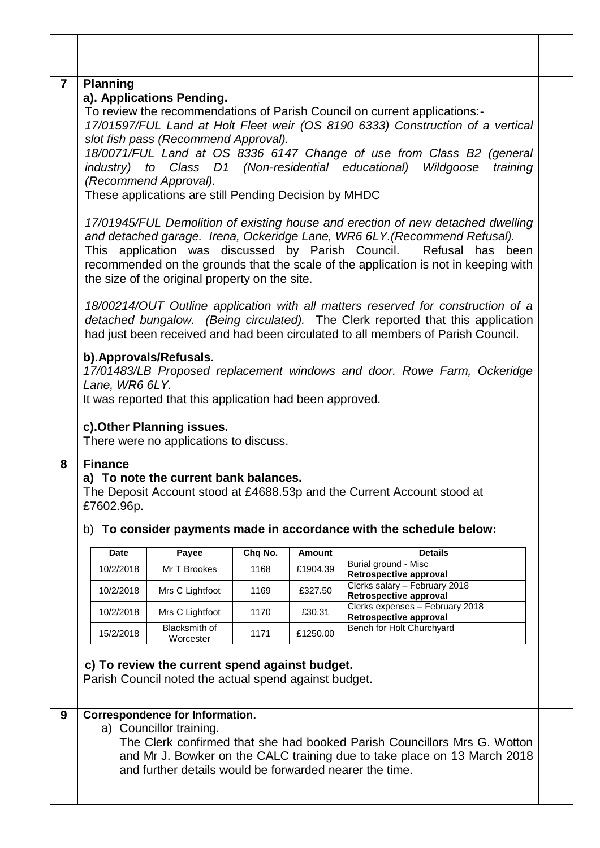| $\overline{7}$ | <b>Planning</b><br>a). Applications Pending.<br>To review the recommendations of Parish Council on current applications:-<br>17/01597/FUL Land at Holt Fleet weir (OS 8190 6333) Construction of a vertical<br>slot fish pass (Recommend Approval).<br>18/0071/FUL Land at OS 8336 6147 Change of use from Class B2 (general<br>industry) to Class D1 (Non-residential educational)<br>Wildgoose<br>training<br>(Recommend Approval).<br>These applications are still Pending Decision by MHDC |                                                                                                                                                                                  |                                                                                                                                                                                                                                                         |                 |                           |                                                           |  |
|----------------|------------------------------------------------------------------------------------------------------------------------------------------------------------------------------------------------------------------------------------------------------------------------------------------------------------------------------------------------------------------------------------------------------------------------------------------------------------------------------------------------|----------------------------------------------------------------------------------------------------------------------------------------------------------------------------------|---------------------------------------------------------------------------------------------------------------------------------------------------------------------------------------------------------------------------------------------------------|-----------------|---------------------------|-----------------------------------------------------------|--|
|                | 17/01945/FUL Demolition of existing house and erection of new detached dwelling<br>and detached garage. Irena, Ockeridge Lane, WR6 6LY. (Recommend Refusal).<br>This application was discussed by Parish Council.<br>Refusal<br>has been<br>recommended on the grounds that the scale of the application is not in keeping with<br>the size of the original property on the site.                                                                                                              |                                                                                                                                                                                  |                                                                                                                                                                                                                                                         |                 |                           |                                                           |  |
|                |                                                                                                                                                                                                                                                                                                                                                                                                                                                                                                |                                                                                                                                                                                  | 18/00214/OUT Outline application with all matters reserved for construction of a<br>detached bungalow. (Being circulated). The Clerk reported that this application<br>had just been received and had been circulated to all members of Parish Council. |                 |                           |                                                           |  |
|                |                                                                                                                                                                                                                                                                                                                                                                                                                                                                                                | b). Approvals/Refusals.<br>17/01483/LB Proposed replacement windows and door. Rowe Farm, Ockeridge<br>Lane, WR6 6LY.<br>It was reported that this application had been approved. |                                                                                                                                                                                                                                                         |                 |                           |                                                           |  |
|                |                                                                                                                                                                                                                                                                                                                                                                                                                                                                                                |                                                                                                                                                                                  | c). Other Planning issues.<br>There were no applications to discuss.                                                                                                                                                                                    |                 |                           |                                                           |  |
| 8              | <b>Finance</b><br>a) To note the current bank balances.<br>The Deposit Account stood at £4688.53p and the Current Account stood at<br>£7602.96p.<br>b) To consider payments made in accordance with the schedule below:                                                                                                                                                                                                                                                                        |                                                                                                                                                                                  |                                                                                                                                                                                                                                                         |                 |                           |                                                           |  |
|                |                                                                                                                                                                                                                                                                                                                                                                                                                                                                                                |                                                                                                                                                                                  |                                                                                                                                                                                                                                                         |                 |                           |                                                           |  |
|                |                                                                                                                                                                                                                                                                                                                                                                                                                                                                                                | <b>Date</b><br>10/2/2018                                                                                                                                                         | Payee<br>Mr T Brookes                                                                                                                                                                                                                                   | Chq No.<br>1168 | <b>Amount</b><br>£1904.39 | <b>Details</b><br>Burial ground - Misc                    |  |
|                |                                                                                                                                                                                                                                                                                                                                                                                                                                                                                                | 10/2/2018                                                                                                                                                                        | Mrs C Lightfoot                                                                                                                                                                                                                                         | 1169            | £327.50                   | Retrospective approval<br>Clerks salary - February 2018   |  |
|                |                                                                                                                                                                                                                                                                                                                                                                                                                                                                                                | 10/2/2018                                                                                                                                                                        | Mrs C Lightfoot                                                                                                                                                                                                                                         | 1170            | £30.31                    | Retrospective approval<br>Clerks expenses - February 2018 |  |
|                |                                                                                                                                                                                                                                                                                                                                                                                                                                                                                                | 15/2/2018                                                                                                                                                                        | Blacksmith of<br>Worcester                                                                                                                                                                                                                              | 1171            | £1250.00                  | Retrospective approval<br>Bench for Holt Churchyard       |  |
| 9              |                                                                                                                                                                                                                                                                                                                                                                                                                                                                                                |                                                                                                                                                                                  | c) To review the current spend against budget.<br>Parish Council noted the actual spend against budget.<br><b>Correspondence for Information.</b>                                                                                                       |                 |                           |                                                           |  |
|                | a) Councillor training.<br>The Clerk confirmed that she had booked Parish Councillors Mrs G. Wotton<br>and Mr J. Bowker on the CALC training due to take place on 13 March 2018<br>and further details would be forwarded nearer the time.                                                                                                                                                                                                                                                     |                                                                                                                                                                                  |                                                                                                                                                                                                                                                         |                 |                           |                                                           |  |